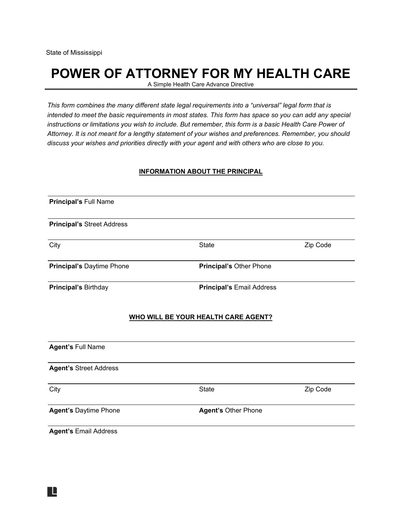R

# **POWER OF ATTORNEY FOR MY HEALTH CARE**

A Simple Health Care Advance Directive

*This form combines the many different state legal requirements into a "universal" legal form that is intended to meet the basic requirements in most states. This form has space so you can add any special instructions or limitations you wish to include. But remember, this form is a basic Health Care Power of Attorney. It is not meant for a lengthy statement of your wishes and preferences. Remember, you should discuss your wishes and priorities directly with your agent and with others who are close to you.*

#### **INFORMATION ABOUT THE PRINCIPAL**

| Principal's Full Name             |                                     |          |
|-----------------------------------|-------------------------------------|----------|
| <b>Principal's Street Address</b> |                                     |          |
| City                              | <b>State</b>                        | Zip Code |
| Principal's Daytime Phone         | Principal's Other Phone             |          |
| <b>Principal's Birthday</b>       | <b>Principal's Email Address</b>    |          |
|                                   | WHO WILL BE YOUR HEALTH CARE AGENT? |          |
| <b>Agent's Full Name</b>          |                                     |          |
| <b>Agent's Street Address</b>     |                                     |          |
| City                              | <b>State</b>                        | Zip Code |
| <b>Agent's Daytime Phone</b>      | <b>Agent's Other Phone</b>          |          |
| <b>Agent's Email Address</b>      |                                     |          |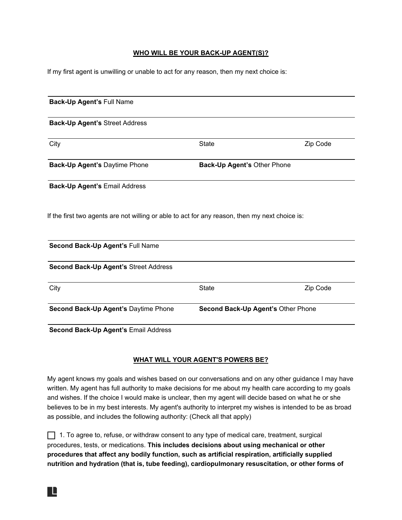#### **WHO WILL BE YOUR BACK-UP AGENT(S)?**

If my first agent is unwilling or unable to act for any reason, then my next choice is:

|          |                                    | Back-Up Agent's Full Name                                                                      |
|----------|------------------------------------|------------------------------------------------------------------------------------------------|
|          |                                    | <b>Back-Up Agent's Street Address</b>                                                          |
| Zip Code | <b>State</b>                       | City                                                                                           |
|          | Back-Up Agent's Other Phone        | Back-Up Agent's Daytime Phone                                                                  |
|          |                                    | <b>Back-Up Agent's Email Address</b>                                                           |
|          |                                    | If the first two agents are not willing or able to act for any reason, then my next choice is: |
|          |                                    | Second Back-Up Agent's Full Name                                                               |
|          |                                    | Second Back-Up Agent's Street Address                                                          |
| Zip Code | <b>State</b>                       | City                                                                                           |
|          | Second Back-Up Agent's Other Phone | Second Back-Up Agent's Daytime Phone                                                           |
|          |                                    |                                                                                                |

**Second Back-Up Agent's** Email Address

R

#### **WHAT WILL YOUR AGENT'S POWERS BE?**

My agent knows my goals and wishes based on our conversations and on any other guidance I may have written. My agent has full authority to make decisions for me about my health care according to my goals and wishes. If the choice I would make is unclear, then my agent will decide based on what he or she believes to be in my best interests. My agent's authority to interpret my wishes is intended to be as broad as possible, and includes the following authority: (Check all that apply)

 $\Box$  1. To agree to, refuse, or withdraw consent to any type of medical care, treatment, surgical procedures, tests, or medications. **This includes decisions about using mechanical or other procedures that affect any bodily function, such as artificial respiration, artificially supplied nutrition and hydration (that is, tube feeding), cardiopulmonary resuscitation, or other forms of**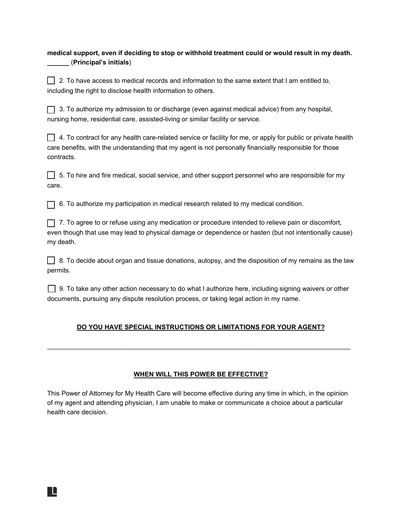## **medical support, even if deciding to stop or withhold treatment could or would result in my death. \_\_\_\_\_\_** (**Principal's initials**)

| 2. To have access to medical records and information to the same extent that I am entitled to, |
|------------------------------------------------------------------------------------------------|
| including the right to disclose health information to others.                                  |

| □ 3. To authorize my admission to or discharge (even against medical advice) from any hospital, |
|-------------------------------------------------------------------------------------------------|
| nursing home, residential care, assisted-living or similar facility or service.                 |

□ 4. To contract for any health care-related service or facility for me, or apply for public or private health care benefits, with the understanding that my agent is not personally financially responsible for those contracts.

☐ 5. To hire and fire medical, social service, and other support personnel who are responsible for my care.

□ 6. To authorize my participation in medical research related to my medical condition.

 $\Box$  7. To agree to or refuse using any medication or procedure intended to relieve pain or discomfort, even though that use may lead to physical damage or dependence or hasten (but not intentionally cause) my death.

 $\Box$  8. To decide about organ and tissue donations, autopsy, and the disposition of my remains as the law permits.

 $\Box$  9. To take any other action necessary to do what I authorize here, including signing waivers or other documents, pursuing any dispute resolution process, or taking legal action in my name.

## **DO YOU HAVE SPECIAL INSTRUCTIONS OR LIMITATIONS FOR YOUR AGENT?**

\_\_\_\_\_\_\_\_\_\_\_\_\_\_\_\_\_\_\_\_\_\_\_\_\_\_\_\_\_\_\_\_\_\_\_\_\_\_\_\_\_\_\_\_\_\_\_\_\_\_\_\_\_\_\_\_\_\_\_\_\_\_\_\_\_\_\_\_\_\_\_\_\_\_\_\_\_\_\_\_\_\_\_

## **WHEN WILL THIS POWER BE EFFECTIVE?**

This Power of Attorney for My Health Care will become effective during any time in which, in the opinion of my agent and attending physician, I am unable to make or communicate a choice about a particular health care decision.

R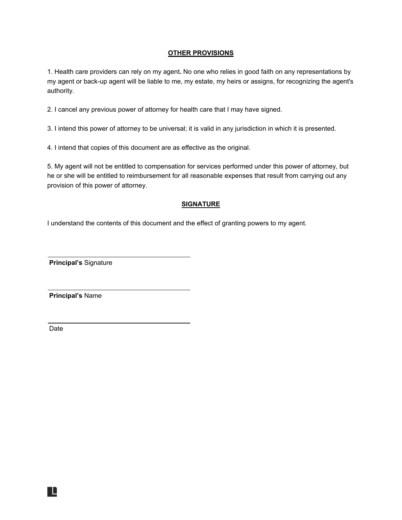#### **OTHER PROVISIONS**

1. Health care providers can rely on my agent**.** No one who relies in good faith on any representations by my agent or back-up agent will be liable to me, my estate, my heirs or assigns, for recognizing the agent's authority.

2. I cancel any previous power of attorney for health care that I may have signed.

3. I intend this power of attorney to be universal; it is valid in any jurisdiction in which it is presented.

4. I intend that copies of this document are as effective as the original.

5. My agent will not be entitled to compensation for services performed under this power of attorney, but he or she will be entitled to reimbursement for all reasonable expenses that result from carrying out any provision of this power of attorney.

#### **SIGNATURE**

I understand the contents of this document and the effect of granting powers to my agent.

**Principal's** Signature

**Principal's** Name

Date

H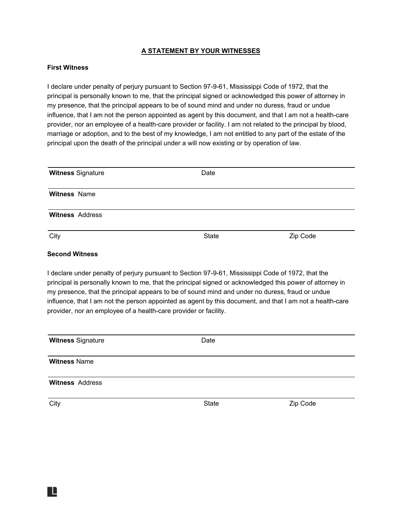## **A STATEMENT BY YOUR WITNESSES**

#### **First Witness**

I declare under penalty of perjury pursuant to Section 97-9-61, Mississippi Code of 1972, that the principal is personally known to me, that the principal signed or acknowledged this power of attorney in my presence, that the principal appears to be of sound mind and under no duress, fraud or undue influence, that I am not the person appointed as agent by this document, and that I am not a health-care provider, nor an employee of a health-care provider or facility. I am not related to the principal by blood, marriage or adoption, and to the best of my knowledge, I am not entitled to any part of the estate of the principal upon the death of the principal under a will now existing or by operation of law.

| <b>Witness Signature</b> | Date  |          |
|--------------------------|-------|----------|
| <b>Witness Name</b>      |       |          |
| <b>Witness Address</b>   |       |          |
| City                     | State | Zip Code |

## **Second Witness**

R

I declare under penalty of perjury pursuant to Section 97-9-61, Mississippi Code of 1972, that the principal is personally known to me, that the principal signed or acknowledged this power of attorney in my presence, that the principal appears to be of sound mind and under no duress, fraud or undue influence, that I am not the person appointed as agent by this document, and that I am not a health-care provider, nor an employee of a health-care provider or facility.

| <b>Witness Signature</b> | Date  |          |
|--------------------------|-------|----------|
| <b>Witness Name</b>      |       |          |
| <b>Witness Address</b>   |       |          |
| City                     | State | Zip Code |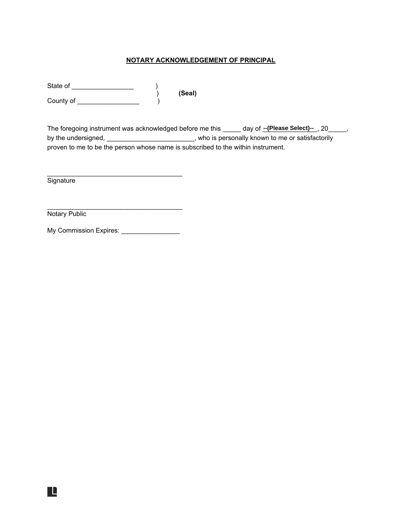#### **NOTARY ACKNOWLEDGEMENT OF PRINCIPAL**

| State of  |        |
|-----------|--------|
|           | (Seal) |
| County of |        |

The foregoing instrument was acknowledged before me this \_\_\_\_\_\_ day of **--(Please Select)--**\_, 20\_\_\_\_\_\_, by the undersigned, \_\_\_\_\_\_\_\_\_\_\_\_\_\_\_\_\_\_\_\_\_\_\_\_\_, who is personally known to me or satisfactorily proven to me to be the person whose name is subscribed to the within instrument.

\_\_\_\_\_\_\_\_\_\_\_\_\_\_\_\_\_\_\_\_\_\_\_\_\_\_\_\_\_\_\_\_\_\_\_\_\_ **Signature** 

\_\_\_\_\_\_\_\_\_\_\_\_\_\_\_\_\_\_\_\_\_\_\_\_\_\_\_\_\_\_\_\_\_\_\_\_\_ Notary Public

L

My Commission Expires: \_\_\_\_\_\_\_\_\_\_\_\_\_\_\_\_\_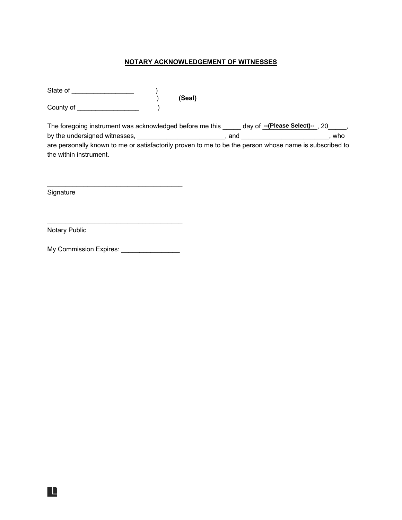# **NOTARY ACKNOWLEDGEMENT OF WITNESSES**

| State of  |        |
|-----------|--------|
|           | (Seal) |
| County of |        |

| The foregoing instrument was acknowledged before me this                                               |     | day of $-$ (Please Select)--, 20 |
|--------------------------------------------------------------------------------------------------------|-----|----------------------------------|
| by the undersigned witnesses,                                                                          | and | who                              |
| are personally known to me or satisfactorily proven to me to be the person whose name is subscribed to |     |                                  |
| the within instrument.                                                                                 |     |                                  |

Signature

Notary Public

Ľ

My Commission Expires: \_\_\_\_\_\_\_\_\_\_\_\_\_\_\_\_\_\_\_\_

\_\_\_\_\_\_\_\_\_\_\_\_\_\_\_\_\_\_\_\_\_\_\_\_\_\_\_\_\_\_\_\_\_\_\_\_\_

\_\_\_\_\_\_\_\_\_\_\_\_\_\_\_\_\_\_\_\_\_\_\_\_\_\_\_\_\_\_\_\_\_\_\_\_\_